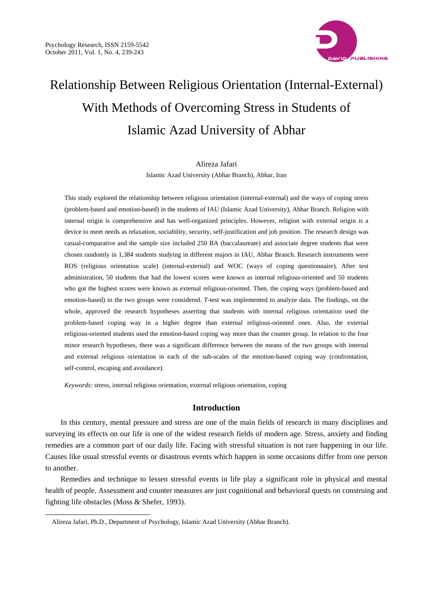

# Relationship Between Religious Orientation (Internal-External) With Methods of Overcoming Stress in Students of Islamic Azad University of Abhar

## Alireza Jafari

Islamic Azad University (Abhar Branch), Abhar, Iran

This study explored the relationship between religious orientation (internal-external) and the ways of coping stress (problem-based and emotion-based) in the students of IAU (Islamic Azad University), Abhar Branch. Religion with internal origin is comprehensive and has well-organized principles. However, religion with external origin is a device to meet needs as relaxation, sociability, security, self-justification and job position. The research design was casual-comparative and the sample size included 250 BA (baccalaureate) and associate degree students that were chosen randomly in 1,384 students studying in different majors in IAU, Abhar Branch. Research instruments were ROS (religious orientation scale) (internal-external) and WOC (ways of coping questionnaire). After test administration, 50 students that had the lowest scores were known as internal religious-oriented and 50 students who got the highest scores were known as external religious-oriented. Then, the coping ways (problem-based and emotion-based) in the two groups were considered. *T*-test was implemented to analyze data. The findings, on the whole, approved the research hypotheses asserting that students with internal religious orientation used the problem-based coping way in a higher degree than external religious-oriented ones. Also, the external religious-oriented students used the emotion-based coping way more than the counter group. In relation to the four minor research hypotheses, there was a significant difference between the means of the two groups with internal and external religious orientation in each of the sub-scales of the emotion-based coping way (confrontation, self-control, escaping and avoidance).

*Keywords:* stress, internal religious orientation, external religious orientation, coping

## **Introduction**

In this century, mental pressure and stress are one of the main fields of research in many disciplines and surveying its effects on our life is one of the widest research fields of modern age. Stress, anxiety and finding remedies are a common part of our daily life. Facing with stressful situation is not rare happening in our life. Causes like usual stressful events or disastrous events which happen in some occasions differ from one person to another.

Remedies and technique to lessen stressful events in life play a significant role in physical and mental health of people. Assessment and counter measures are just cognitional and behavioral quests on construing and fighting life obstacles (Moss & Shefer, 1993).

 $\overline{a}$ 

Alireza Jafari, Ph.D., Department of Psychology, Islamic Azad University (Abhar Branch).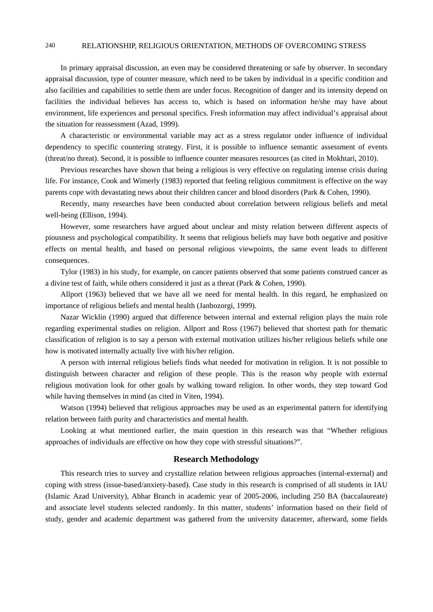# 240 RELATIONSHIP, RELIGIOUS ORIENTATION, METHODS OF OVERCOMING STRESS

In primary appraisal discussion, an even may be considered threatening or safe by observer. In secondary appraisal discussion, type of counter measure, which need to be taken by individual in a specific condition and also facilities and capabilities to settle them are under focus. Recognition of danger and its intensity depend on facilities the individual believes has access to, which is based on information he/she may have about environment, life experiences and personal specifics. Fresh information may affect individual's appraisal about the situation for reassessment (Azad, 1999).

A characteristic or environmental variable may act as a stress regulator under influence of individual dependency to specific countering strategy. First, it is possible to influence semantic assessment of events (threat/no threat). Second, it is possible to influence counter measures resources (as cited in Mokhtari, 2010).

Previous researches have shown that being a religious is very effective on regulating intense crisis during life. For instance, Cook and Wimerly (1983) reported that feeling religious commitment is effective on the way parents cope with devastating news about their children cancer and blood disorders (Park & Cohen, 1990).

Recently, many researches have been conducted about correlation between religious beliefs and metal well-being (Ellison, 1994).

However, some researchers have argued about unclear and misty relation between different aspects of piousness and psychological compatibility. It seems that religious beliefs may have both negative and positive effects on mental health, and based on personal religious viewpoints, the same event leads to different consequences.

Tylor (1983) in his study, for example, on cancer patients observed that some patients construed cancer as a divine test of faith, while others considered it just as a threat (Park & Cohen, 1990).

Allport (1963) believed that we have all we need for mental health. In this regard, he emphasized on importance of religious beliefs and mental health (Janbozorgi, 1999).

Nazar Wicklin (1990) argued that difference between internal and external religion plays the main role regarding experimental studies on religion. Allport and Ross (1967) believed that shortest path for thematic classification of religion is to say a person with external motivation utilizes his/her religious beliefs while one how is motivated internally actually live with his/her religion.

A person with internal religious beliefs finds what needed for motivation in religion. It is not possible to distinguish between character and religion of these people. This is the reason why people with external religious motivation look for other goals by walking toward religion. In other words, they step toward God while having themselves in mind (as cited in Viten, 1994).

Watson (1994) believed that religious approaches may be used as an experimental pattern for identifying relation between faith purity and characteristics and mental health.

Looking at what mentioned earlier, the main question in this research was that "Whether religious approaches of individuals are effective on how they cope with stressful situations?".

# **Research Methodology**

This research tries to survey and crystallize relation between religious approaches (internal-external) and coping with stress (issue-based/anxiety-based). Case study in this research is comprised of all students in IAU (Islamic Azad University), Abhar Branch in academic year of 2005-2006, including 250 BA (baccalaureate) and associate level students selected randomly. In this matter, students' information based on their field of study, gender and academic department was gathered from the university datacenter, afterward, some fields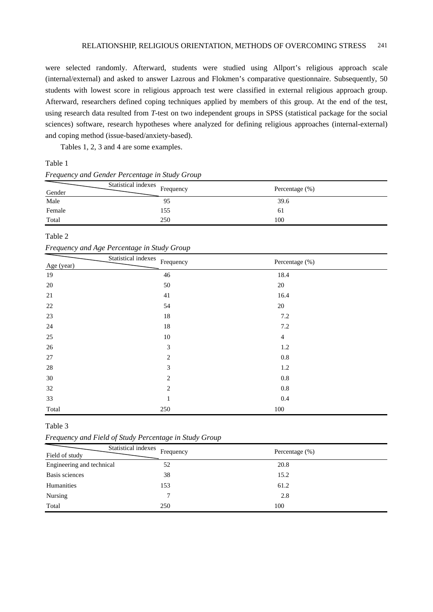were selected randomly. Afterward, students were studied using Allport's religious approach scale (internal/external) and asked to answer Lazrous and Flokmen's comparative questionnaire. Subsequently, 50 students with lowest score in religious approach test were classified in external religious approach group. Afterward, researchers defined coping techniques applied by members of this group. At the end of the test, using research data resulted from *T-*test on two independent groups in SPSS (statistical package for the social sciences) software, research hypotheses where analyzed for defining religious approaches (internal-external) and coping method (issue-based/anxiety-based).

Tables 1, 2, 3 and 4 are some examples.

### Table 1

|        | Statistical indexes Frequency |                   |  |
|--------|-------------------------------|-------------------|--|
| Gender |                               | Percentage $(\%)$ |  |
| Male   | 95                            | 39.6              |  |
| Female | 155                           | 61                |  |
| Total  | 250                           | 100               |  |

# *Frequency and Gender Percentage in Study Group*

## Table 2

| Frequency and Age Percentage in Study Group |  |  |  |
|---------------------------------------------|--|--|--|
|---------------------------------------------|--|--|--|

| $\mathbf{I}$<br>$\sim$<br>$\circ$ | $\circ$<br>$\checkmark$<br>$\mathbf{I}$ |                |  |
|-----------------------------------|-----------------------------------------|----------------|--|
| Age (year)                        | Statistical indexes<br>Frequency        | Percentage (%) |  |
| 19                                | $46\,$                                  | 18.4           |  |
| $20\,$                            | $50\,$                                  | $20\,$         |  |
| $21\,$                            | 41                                      | 16.4           |  |
| $22\,$                            | 54                                      | $20\,$         |  |
| 23                                | $18\,$                                  | 7.2            |  |
| $24\,$                            | $18\,$                                  | 7.2            |  |
| 25                                | 10                                      | $\overline{4}$ |  |
| $26\,$                            | $\mathfrak{Z}$                          | $1.2\,$        |  |
| $27\,$                            | 2                                       | $0.8\,$        |  |
| $28\,$                            | 3                                       | $1.2\,$        |  |
| 30                                | $\overline{2}$                          | $0.8\,$        |  |
| 32                                | 2                                       | $0.8\,$        |  |
| 33                                | $\mathbf{1}$                            | 0.4            |  |
| Total                             | 250                                     | 100            |  |

#### Table 3

*Frequency and Field of Study Percentage in Study Group* 

| Field of study            | Statistical indexes<br>Frequency | Percentage $(\%)$ |
|---------------------------|----------------------------------|-------------------|
| Engineering and technical | 52                               | 20.8              |
| Basis sciences            | 38                               | 15.2              |
| Humanities                | 153                              | 61.2              |
| Nursing                   |                                  | 2.8               |
| Total                     | 250                              | 100               |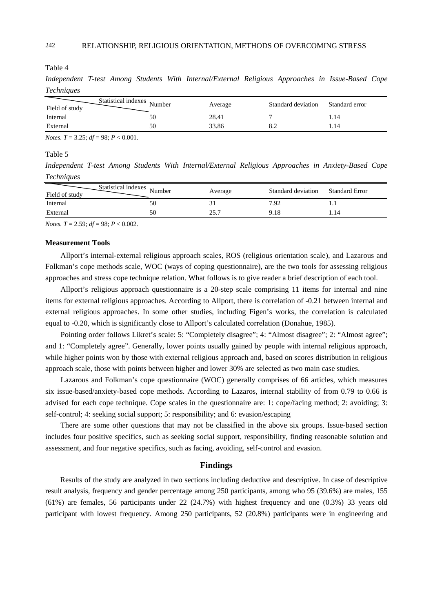#### Table 4

*Independent T-test Among Students With Internal/External Religious Approaches in Issue-Based Cope Techniques* 

| Statistical indexes Number<br>Field of study |    | Average | Standard deviation | Standard error |
|----------------------------------------------|----|---------|--------------------|----------------|
| Internal                                     | 50 | 28.41   |                    | . . 14         |
| External                                     | 50 | 33.86   |                    | .14            |
|                                              |    |         |                    |                |

*Notes. T* = 3.25; *df* = 98; *P* < 0.001.

# Table 5

*Independent T-test Among Students With Internal/External Religious Approaches in Anxiety-Based Cope Techniques* 

| Statistical indexes Number<br>Field of study |    | Average       | Standard deviation | <b>Standard Error</b> |
|----------------------------------------------|----|---------------|--------------------|-----------------------|
| Internal                                     | 50 | ЭI            | 7.92               |                       |
| External                                     | 50 | つく つ<br>. . ب | 9.18               |                       |

*Notes. T* = 2.59; *df* = 98; *P* < 0.002.

#### **Measurement Tools**

Allport's internal-external religious approach scales, ROS (religious orientation scale), and Lazarous and Folkman's cope methods scale, WOC (ways of coping questionnaire), are the two tools for assessing religious approaches and stress cope technique relation. What follows is to give reader a brief description of each tool.

Allport's religious approach questionnaire is a 20-step scale comprising 11 items for internal and nine items for external religious approaches. According to Allport, there is correlation of -0.21 between internal and external religious approaches. In some other studies, including Figen's works, the correlation is calculated equal to -0.20, which is significantly close to Allport's calculated correlation (Donahue, 1985).

Pointing order follows Likret's scale: 5: "Completely disagree"; 4: "Almost disagree"; 2: "Almost agree"; and 1: "Completely agree". Generally, lower points usually gained by people with internal religious approach, while higher points won by those with external religious approach and, based on scores distribution in religious approach scale, those with points between higher and lower 30% are selected as two main case studies.

Lazarous and Folkman's cope questionnaire (WOC) generally comprises of 66 articles, which measures six issue-based/anxiety-based cope methods. According to Lazaros, internal stability of from 0.79 to 0.66 is advised for each cope technique. Cope scales in the questionnaire are: 1: cope/facing method; 2: avoiding; 3: self-control; 4: seeking social support; 5: responsibility; and 6: evasion/escaping

There are some other questions that may not be classified in the above six groups. Issue-based section includes four positive specifics, such as seeking social support, responsibility, finding reasonable solution and assessment, and four negative specifics, such as facing, avoiding, self-control and evasion.

# **Findings**

Results of the study are analyzed in two sections including deductive and descriptive. In case of descriptive result analysis, frequency and gender percentage among 250 participants, among who 95 (39.6%) are males, 155 (61%) are females, 56 participants under 22 (24.7%) with highest frequency and one (0.3%) 33 years old participant with lowest frequency. Among 250 participants, 52 (20.8%) participants were in engineering and